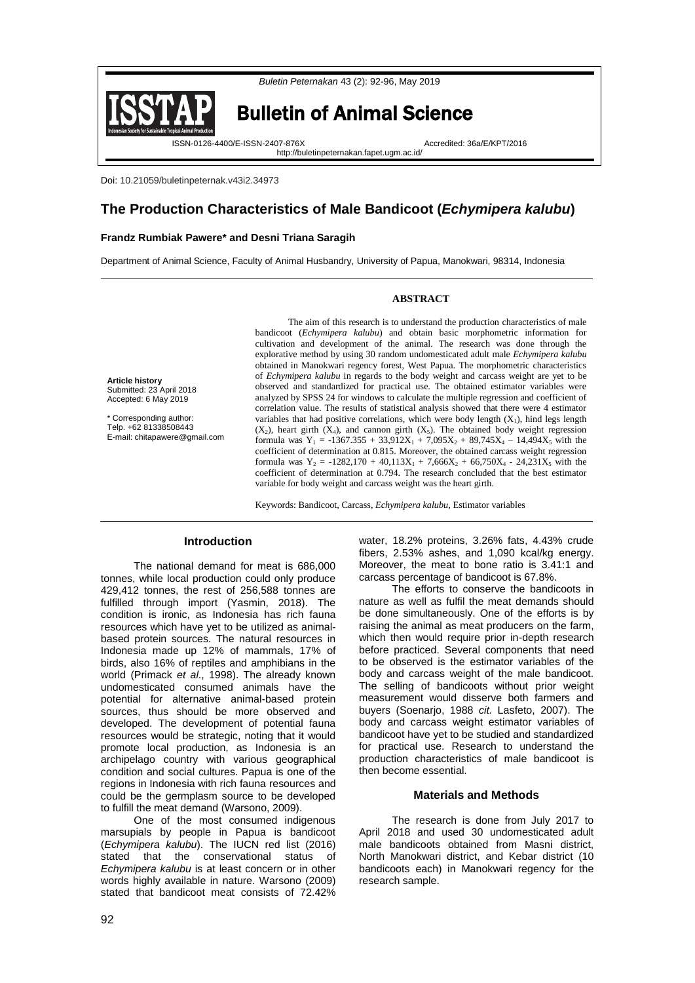

Doi: 10.21059/buletinpeternak.v43i2.34973

# **The Production Characteristics of Male Bandicoot (***Echymipera kalubu***)**

## **Frandz Rumbiak Pawere\* and Desni Triana Saragih**

Department of Animal Science, Faculty of Animal Husbandry, University of Papua, Manokwari, 98314, Indonesia

### **ABSTRACT**

**Article history** Submitted: 23 April 2018 Accepted: 6 May 2019

\* Corresponding author: Telp. +62 81338508443 E-mail: chitapawere@gmail.com

The aim of this research is to understand the production characteristics of male bandicoot (*Echymipera kalubu*) and obtain basic morphometric information for cultivation and development of the animal. The research was done through the explorative method by using 30 random undomesticated adult male *Echymipera kalubu* obtained in Manokwari regency forest, West Papua. The morphometric characteristics of *Echymipera kalubu* in regards to the body weight and carcass weight are yet to be observed and standardized for practical use. The obtained estimator variables were analyzed by SPSS 24 for windows to calculate the multiple regression and coefficient of correlation value. The results of statistical analysis showed that there were 4 estimator variables that had positive correlations, which were body length  $(X_1)$ , hind legs length  $(X_2)$ , heart girth  $(X_4)$ , and cannon girth  $(X_5)$ . The obtained body weight regression formula was  $Y_1 = -1367.355 + 33.912X_1 + 7.095X_2 + 89.745X_4 - 14.494X_5$  with the coefficient of determination at 0.815. Moreover, the obtained carcass weight regression formula was  $Y_2 = -1282,170 + 40,113X_1 + 7,666X_2 + 66,750X_4 - 24,231X_5$  with the coefficient of determination at 0.794. The research concluded that the best estimator variable for body weight and carcass weight was the heart girth.

Keywords: Bandicoot, Carcass, *Echymipera kalubu*, Estimator variables

#### **Introduction**

The national demand for meat is 686,000 tonnes, while local production could only produce 429,412 tonnes, the rest of 256,588 tonnes are fulfilled through import (Yasmin, 2018). The condition is ironic, as Indonesia has rich fauna resources which have yet to be utilized as animalbased protein sources. The natural resources in Indonesia made up 12% of mammals, 17% of birds, also 16% of reptiles and amphibians in the world (Primack *et al*., 1998). The already known undomesticated consumed animals have the potential for alternative animal-based protein sources, thus should be more observed and developed. The development of potential fauna resources would be strategic, noting that it would promote local production, as Indonesia is an archipelago country with various geographical condition and social cultures. Papua is one of the regions in Indonesia with rich fauna resources and could be the germplasm source to be developed to fulfill the meat demand (Warsono, 2009).

One of the most consumed indigenous marsupials by people in Papua is bandicoot (*Echymipera kalubu*). The IUCN red list (2016) stated that the conservational status of *Echymipera kalubu* is at least concern or in other words highly available in nature. Warsono (2009) stated that bandicoot meat consists of 72.42%

water, 18.2% proteins, 3.26% fats, 4.43% crude fibers, 2.53% ashes, and 1,090 kcal/kg energy. Moreover, the meat to bone ratio is 3.41:1 and carcass percentage of bandicoot is 67.8%.

The efforts to conserve the bandicoots in nature as well as fulfil the meat demands should be done simultaneously. One of the efforts is by raising the animal as meat producers on the farm, which then would require prior in-depth research before practiced. Several components that need to be observed is the estimator variables of the body and carcass weight of the male bandicoot. The selling of bandicoots without prior weight measurement would disserve both farmers and buyers (Soenarjo, 1988 *cit.* Lasfeto, 2007). The body and carcass weight estimator variables of bandicoot have yet to be studied and standardized for practical use. Research to understand the production characteristics of male bandicoot is then become essential.

#### **Materials and Methods**

The research is done from July 2017 to April 2018 and used 30 undomesticated adult male bandicoots obtained from Masni district, North Manokwari district, and Kebar district (10 bandicoots each) in Manokwari regency for the research sample.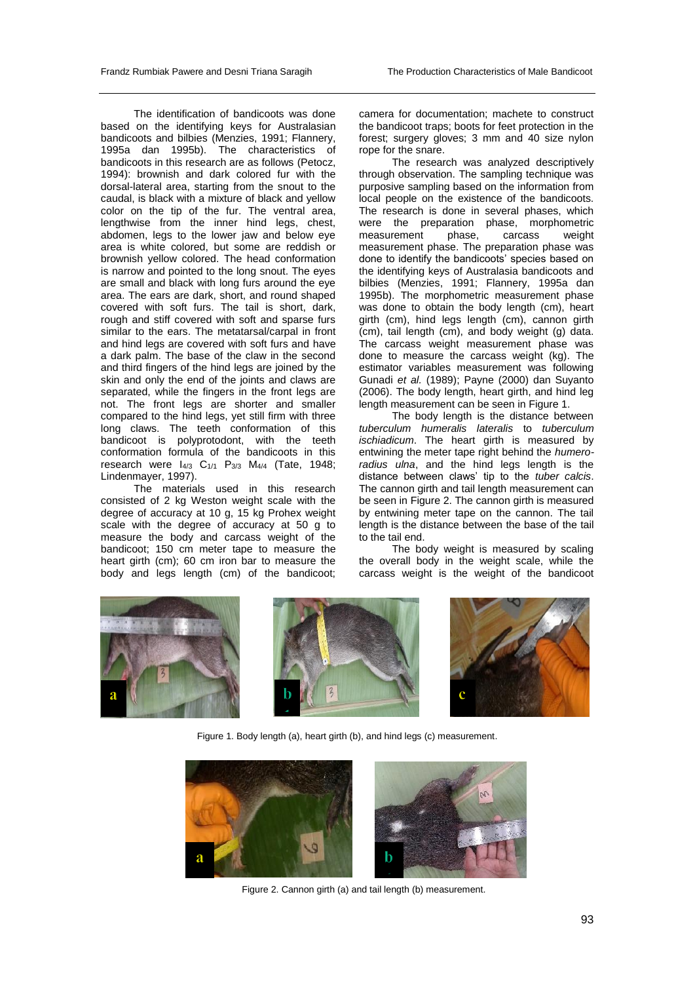The identification of bandicoots was done based on the identifying keys for Australasian bandicoots and bilbies (Menzies, 1991; Flannery, 1995a dan 1995b). The characteristics of bandicoots in this research are as follows (Petocz, 1994): brownish and dark colored fur with the dorsal-lateral area, starting from the snout to the caudal, is black with a mixture of black and yellow color on the tip of the fur. The ventral area, lengthwise from the inner hind legs, chest, abdomen, legs to the lower jaw and below eye area is white colored, but some are reddish or brownish yellow colored. The head conformation is narrow and pointed to the long snout. The eyes are small and black with long furs around the eye area. The ears are dark, short, and round shaped covered with soft furs. The tail is short, dark, rough and stiff covered with soft and sparse furs similar to the ears. The metatarsal/carpal in front and hind legs are covered with soft furs and have a dark palm. The base of the claw in the second and third fingers of the hind legs are joined by the skin and only the end of the joints and claws are separated, while the fingers in the front legs are not. The front legs are shorter and smaller compared to the hind legs, yet still firm with three long claws. The teeth conformation of this bandicoot is polyprotodont, with the teeth conformation formula of the bandicoots in this research were I4/3 C1/1 P3/3 M4/4 (Tate, 1948; Lindenmayer, 1997).

The materials used in this research consisted of 2 kg Weston weight scale with the degree of accuracy at 10 g, 15 kg Prohex weight scale with the degree of accuracy at 50 g to measure the body and carcass weight of the bandicoot; 150 cm meter tape to measure the heart girth (cm); 60 cm iron bar to measure the body and legs length (cm) of the bandicoot;

camera for documentation; machete to construct the bandicoot traps; boots for feet protection in the forest; surgery gloves; 3 mm and 40 size nylon rope for the snare.

The research was analyzed descriptively through observation. The sampling technique was purposive sampling based on the information from local people on the existence of the bandicoots. The research is done in several phases, which were the preparation phase, morphometric measurement phase, carcass weight measurement phase. The preparation phase was done to identify the bandicoots' species based on the identifying keys of Australasia bandicoots and bilbies (Menzies, 1991; Flannery, 1995a dan 1995b). The morphometric measurement phase was done to obtain the body length (cm), heart girth (cm), hind legs length (cm), cannon girth (cm), tail length (cm), and body weight (g) data. The carcass weight measurement phase was done to measure the carcass weight (kg). The estimator variables measurement was following Gunadi *et al.* (1989); Payne (2000) dan Suyanto (2006). The body length, heart girth, and hind leg length measurement can be seen in Figure 1.

The body length is the distance between *tuberculum humeralis lateralis* to *tuberculum ischiadicum*. The heart girth is measured by entwining the meter tape right behind the *humeroradius ulna*, and the hind legs length is the distance between claws' tip to the *tuber calcis*. The cannon girth and tail length measurement can be seen in Figure 2. The cannon girth is measured by entwining meter tape on the cannon. The tail length is the distance between the base of the tail to the tail end.

The body weight is measured by scaling the overall body in the weight scale, while the carcass weight is the weight of the bandicoot



Figure 1. Body length (a), heart girth (b), and hind legs (c) measurement.



Figure 2. Cannon girth (a) and tail length (b) measurement.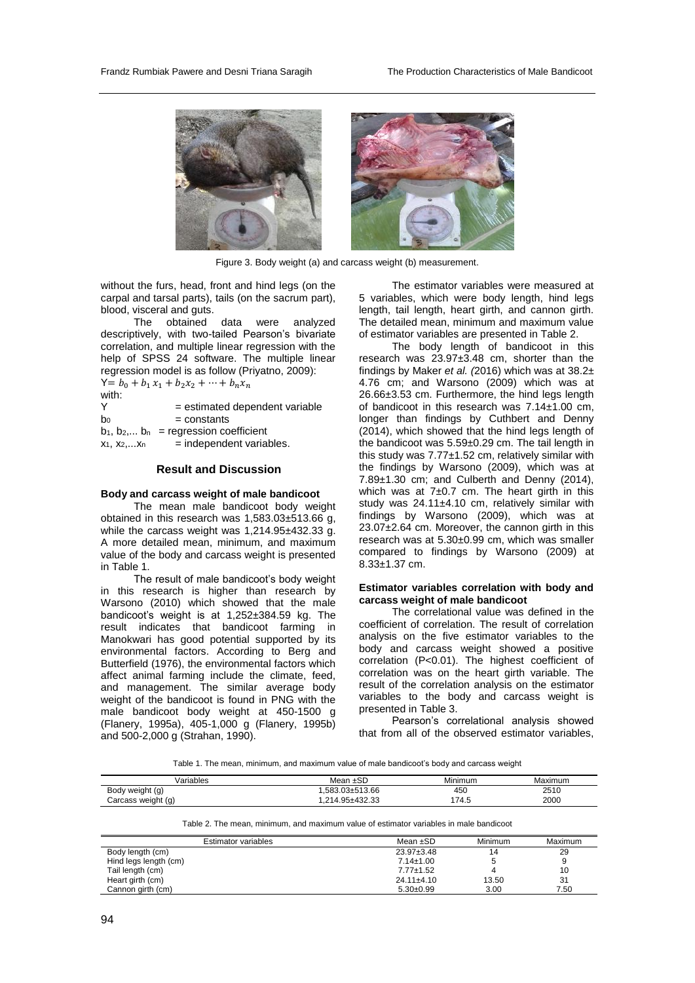

Figure 3. Body weight (a) and carcass weight (b) measurement.

without the furs, head, front and hind legs (on the carpal and tarsal parts), tails (on the sacrum part), blood, visceral and guts.

The obtained data were analyzed descriptively, with two-tailed Pearson's bivariate correlation, and multiple linear regression with the help of SPSS 24 software. The multiple linear regression model is as follow (Priyatno, 2009):

 $Y = b_0 + b_1 x_1 + b_2 x_2 + \cdots + b_n x_n$ with:<br>Y  $=$  estimated dependent variable  $b_0$  = constants  $b_1, b_2,... b_n$  = regression coefficient

 $x_1, x_2,...x_n$  = independent variables.

## **Result and Discussion**

#### **Body and carcass weight of male bandicoot**

The mean male bandicoot body weight obtained in this research was 1,583.03±513.66 g, while the carcass weight was 1,214.95±432.33 g. A more detailed mean, minimum, and maximum value of the body and carcass weight is presented in Table 1.

The result of male bandicoot's body weight in this research is higher than research by Warsono (2010) which showed that the male bandicoot's weight is at 1,252±384.59 kg. The result indicates that bandicoot farming in Manokwari has good potential supported by its environmental factors. According to Berg and Butterfield (1976), the environmental factors which affect animal farming include the climate, feed, and management. The similar average body weight of the bandicoot is found in PNG with the male bandicoot body weight at 450-1500 g (Flanery, 1995a), 405-1,000 g (Flanery, 1995b) and 500-2,000 g (Strahan, 1990).

The estimator variables were measured at 5 variables, which were body length, hind legs length, tail length, heart girth, and cannon girth. The detailed mean, minimum and maximum value of estimator variables are presented in Table 2.

The body length of bandicoot in this research was 23.97±3.48 cm, shorter than the findings by Maker *et al. (*2016) which was at 38.2± 4.76 cm; and Warsono (2009) which was at 26.66±3.53 cm. Furthermore, the hind legs length of bandicoot in this research was  $7.14 \pm 1.00$  cm. longer than findings by Cuthbert and Denny (2014), which showed that the hind legs length of the bandicoot was 5.59±0.29 cm. The tail length in this study was  $7.77\pm1.52$  cm, relatively similar with the findings by Warsono (2009), which was at 7.89±1.30 cm; and Culberth and Denny (2014), which was at  $7±0.7$  cm. The heart girth in this study was 24.11±4.10 cm, relatively similar with findings by Warsono (2009), which was at 23.07±2.64 cm. Moreover, the cannon girth in this research was at 5.30±0.99 cm, which was smaller compared to findings by Warsono (2009) at 8.33±1.37 cm.

#### **Estimator variables correlation with body and carcass weight of male bandicoot**

The correlational value was defined in the coefficient of correlation. The result of correlation analysis on the five estimator variables to the body and carcass weight showed a positive correlation (P<0.01). The highest coefficient of correlation was on the heart girth variable. The result of the correlation analysis on the estimator variables to the body and carcass weight is presented in Table 3.

Pearson's correlational analysis showed that from all of the observed estimator variables,

Table 1. The mean, minimum, and maximum value of male bandicoot's body and carcass weight

| Variables          | Mean ±SD       | .<br>Minimum | Maximum |
|--------------------|----------------|--------------|---------|
| Body weight (g)    | .583.03±513.66 | 450          | 2510    |
| Carcass weight (g) | .214.95±432.33 | 74.5         | 2000    |

Table 2. The mean, minimum, and maximum value of estimator variables in male bandicoot

| Estimator variables   | Mean ±SD         | Minimum | Maximum |
|-----------------------|------------------|---------|---------|
| Body length (cm)      | $23.97 \pm 3.48$ | 14      | 29      |
| Hind legs length (cm) | $7.14 \pm 1.00$  |         | 9       |
| Tail length (cm)      | $7.77 \pm 1.52$  |         | 10      |
| Heart girth (cm)      | $24.11 \pm 4.10$ | 13.50   | 31      |
| Cannon girth (cm)     | $5.30+0.99$      | 3.00    | 7.50    |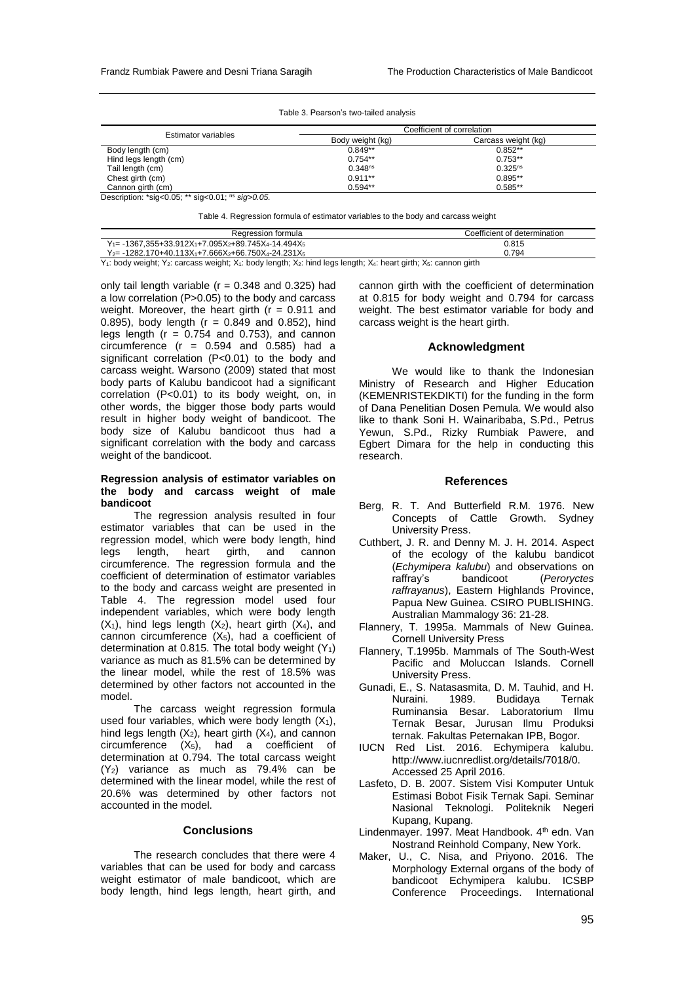#### Table 3. Pearson's two-tailed analysis

| <b>Estimator variables</b> | Coefficient of correlation |                     |  |
|----------------------------|----------------------------|---------------------|--|
|                            | Body weight (kg)           | Carcass weight (kg) |  |
| Body length (cm)           | $0.849**$                  | $0.852**$           |  |
| Hind legs length (cm)      | $0.754**$                  | $0.753**$           |  |
| Tail length (cm)           | 0.348 <sup>ns</sup>        | $0.325^{ns}$        |  |
| Chest girth (cm)           | $0.911**$                  | $0.895**$           |  |
| Cannon girth (cm)          | $0.594**$                  | $0.585**$           |  |

Description: \*sig<0.05; \*\* sig<0.01; ns *sig>0.05.*

Table 4. Regression formula of estimator variables to the body and carcass weight

| Regression formula                                                                                            | Coefficient of determination |  |
|---------------------------------------------------------------------------------------------------------------|------------------------------|--|
| $Y_{1} = -1367,355+33.912X_{1} + 7.095X_{2} + 89.745X_{4} - 14.494X_{5}$                                      | 0.815                        |  |
| $Y_{2} = -1282.170 + 40.113X_{1} + 7.666X_{2} + 66.750X_{4} - 24.231X_{5}$                                    | 0.794                        |  |
| Var body wojabt: Var opropos wojabt: Var body Jonath: Var bind Jona Jonath: Var boort airth: Var oppnan airth |                              |  |

Y<sub>1</sub>: body weight; Y<sub>2</sub>: carcass weight; X<sub>1</sub>: body length; X<sub>2</sub>: hind legs length; X<sub>4</sub>: heart girth; X<sub>5</sub>: cannon girth

only tail length variable ( $r = 0.348$  and 0.325) had a low correlation (P>0.05) to the body and carcass weight. Moreover, the heart girth ( $r = 0.911$  and 0.895), body length ( $r = 0.849$  and 0.852), hind legs length ( $r = 0.754$  and 0.753), and cannon circumference  $(r = 0.594$  and  $(0.585)$  had a significant correlation (P<0.01) to the body and carcass weight. Warsono (2009) stated that most body parts of Kalubu bandicoot had a significant correlation (P<0.01) to its body weight, on, in other words, the bigger those body parts would result in higher body weight of bandicoot. The body size of Kalubu bandicoot thus had a significant correlation with the body and carcass weight of the bandicoot.

#### **Regression analysis of estimator variables on the body and carcass weight of male bandicoot**

The regression analysis resulted in four estimator variables that can be used in the regression model, which were body length, hind legs length, heart girth, and cannon circumference. The regression formula and the coefficient of determination of estimator variables to the body and carcass weight are presented in Table 4. The regression model used four independent variables, which were body length  $(X_1)$ , hind legs length  $(X_2)$ , heart girth  $(X_4)$ , and cannon circumference  $(X_5)$ , had a coefficient of determination at 0.815. The total body weight  $(Y_1)$ variance as much as 81.5% can be determined by the linear model, while the rest of 18.5% was determined by other factors not accounted in the model.

The carcass weight regression formula used four variables, which were body length  $(X_1)$ , hind legs length  $(X_2)$ , heart girth  $(X_4)$ , and cannon circumference (X5), had a coefficient of determination at 0.794. The total carcass weight (Y2) variance as much as 79.4% can be determined with the linear model, while the rest of 20.6% was determined by other factors not accounted in the model.

## **Conclusions**

The research concludes that there were 4 variables that can be used for body and carcass weight estimator of male bandicoot, which are body length, hind legs length, heart girth, and

cannon girth with the coefficient of determination at 0.815 for body weight and 0.794 for carcass weight. The best estimator variable for body and carcass weight is the heart girth.

#### **Acknowledgment**

We would like to thank the Indonesian Ministry of Research and Higher Education (KEMENRISTEKDIKTI) for the funding in the form of Dana Penelitian Dosen Pemula. We would also like to thank Soni H. Wainaribaba, S.Pd., Petrus Yewun, S.Pd., Rizky Rumbiak Pawere, and Egbert Dimara for the help in conducting this research.

#### **References**

- Berg, R. T. And Butterfield R.M. 1976. New Concepts of Cattle Growth. Sydney University Press.
- Cuthbert, J. R. and Denny M. J. H. 2014. Aspect of the ecology of the kalubu bandicot (*Echymipera kalubu*) and observations on raffray's bandicoot (*Peroryctes raffrayanus*), Eastern Highlands Province, Papua New Guinea. CSIRO PUBLISHING. Australian Mammalogy 36: 21-28.
- Flannery, T. 1995a. Mammals of New Guinea. Cornell University Press
- Flannery, T.1995b. Mammals of The South-West Pacific and Moluccan Islands. Cornell University Press.
- Gunadi, E., S. Natasasmita, D. M. Tauhid, and H. Nuraini. 1989. Budidaya Ruminansia Besar. Laboratorium Ilmu Ternak Besar, Jurusan Ilmu Produksi ternak. Fakultas Peternakan IPB, Bogor.
- IUCN Red List. 2016. Echymipera kalubu. [http://www.iucnredlist.org/details/7018/0.](http://www.iucnredlist.org/details/7018/0.%20%20%20%20%20%20%20%20%20%20%20%20%20%20%20Accessed%2025%20April%202016)  [Accessed 25 April 2016.](http://www.iucnredlist.org/details/7018/0.%20%20%20%20%20%20%20%20%20%20%20%20%20%20%20Accessed%2025%20April%202016)
- Lasfeto, D. B. 2007. Sistem Visi Komputer Untuk Estimasi Bobot Fisik Ternak Sapi. Seminar Nasional Teknologi. Politeknik Negeri Kupang, Kupang.
- Lindenmayer. 1997. Meat Handbook. 4<sup>th</sup> edn. Van Nostrand Reinhold Company, New York.
- Maker, U., C. Nisa, and Priyono. 2016. The Morphology External organs of the body of bandicoot Echymipera kalubu. ICSBP Conference Proceedings. International